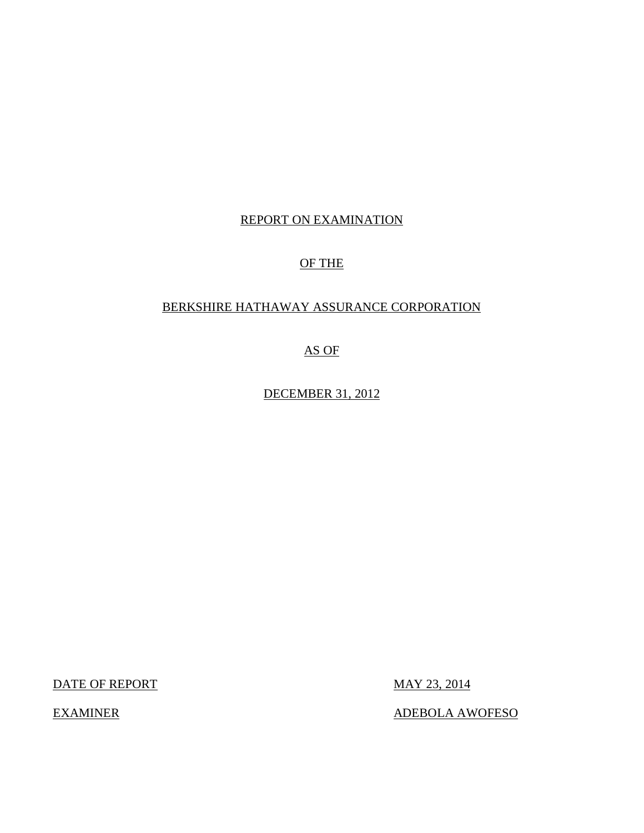## REPORT ON EXAMINATION

## OF THE

## BERKSHIRE HATHAWAY ASSURANCE CORPORATION

AS OF

DECEMBER 31, 2012

DATE OF REPORT MAY 23, 2014

EXAMINER ADEBOLA AWOFESO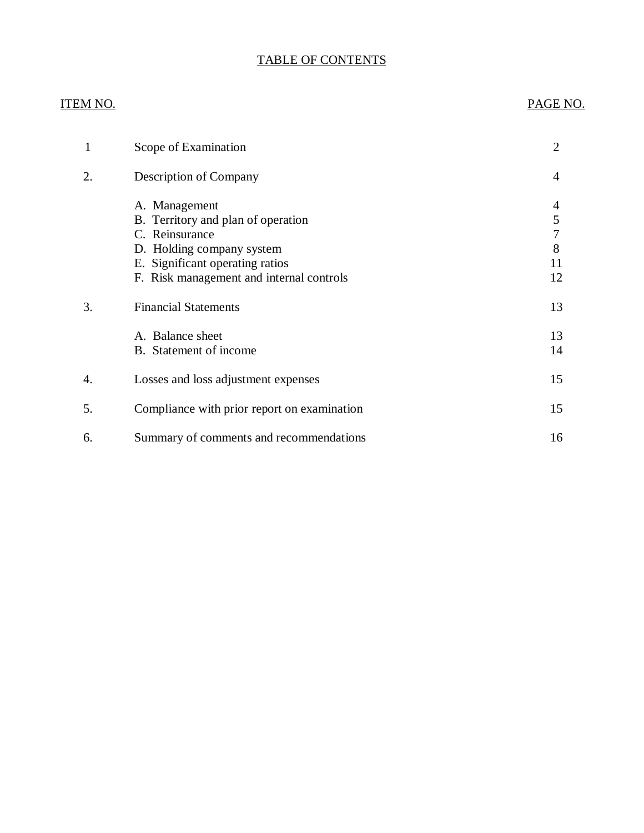## TABLE OF CONTENTS

## ITEM NO. PAGE NO.

| 1  | Scope of Examination                        | $\overline{2}$ |
|----|---------------------------------------------|----------------|
| 2. | <b>Description of Company</b>               | 4              |
|    | A. Management                               | 4              |
|    | B. Territory and plan of operation          | 5              |
|    | C. Reinsurance                              | 7              |
|    | D. Holding company system                   | 8              |
|    | E. Significant operating ratios             | 11             |
|    | F. Risk management and internal controls    | 12             |
| 3. | <b>Financial Statements</b>                 | 13             |
|    | A. Balance sheet                            | 13             |
|    | B. Statement of income                      | 14             |
| 4. | Losses and loss adjustment expenses         | 15             |
| 5. | Compliance with prior report on examination | 15             |
| 6. | Summary of comments and recommendations     | 16             |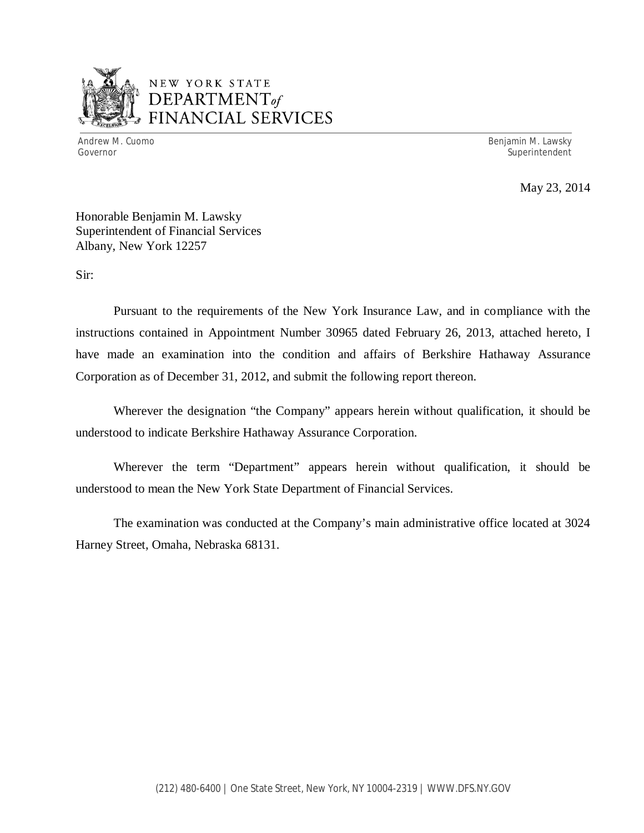

## NEW YORK STATE *DEPARTMENTof*  FINANCIAL SERVICES

Andrew M. Cuomo **Benjamin M. Lawsky** Governor Superintendent Superintendent Superintendent Superintendent Superintendent Superintendent Superintendent

May 23, 2014

Honorable Benjamin M. Lawsky Superintendent of Financial Services Albany, New York 12257

Sir:

Pursuant to the requirements of the New York Insurance Law, and in compliance with the instructions contained in Appointment Number 30965 dated February 26, 2013, attached hereto, I have made an examination into the condition and affairs of Berkshire Hathaway Assurance Corporation as of December 31, 2012, and submit the following report thereon.

Wherever the designation "the Company" appears herein without qualification, it should be understood to indicate Berkshire Hathaway Assurance Corporation.

Wherever the term "Department" appears herein without qualification, it should be understood to mean the New York State Department of Financial Services.

The examination was conducted at the Company's main administrative office located at 3024 Harney Street, Omaha, Nebraska 68131.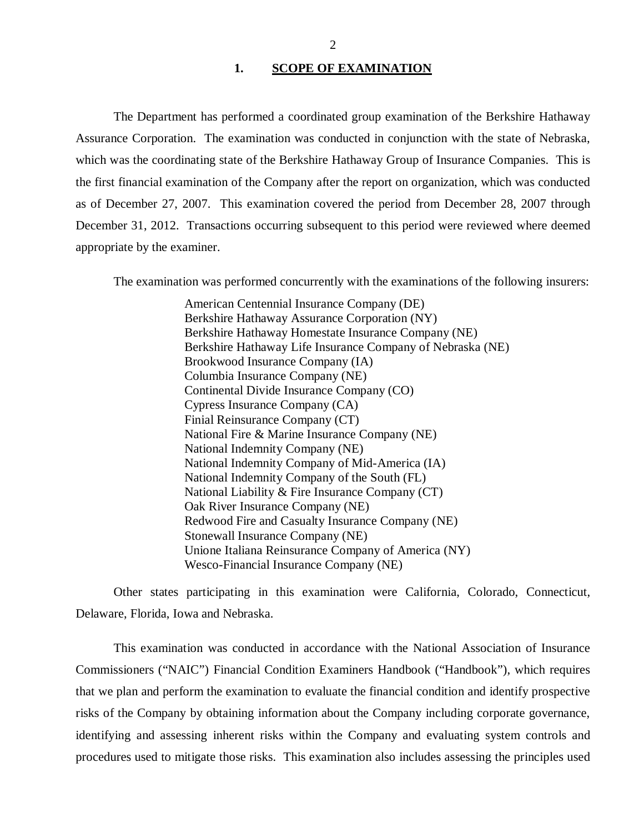#### 1. SCOPE OF EXAMINATION

<span id="page-3-0"></span>The Department has performed a coordinated group examination of the Berkshire Hathaway Assurance Corporation. The examination was conducted in conjunction with the state of Nebraska, which was the coordinating state of the Berkshire Hathaway Group of Insurance Companies. This is the first financial examination of the Company after the report on organization, which was conducted as of December 27, 2007. This examination covered the period from December 28, 2007 through December 31, 2012. Transactions occurring subsequent to this period were reviewed where deemed appropriate by the examiner.

The examination was performed concurrently with the examinations of the following insurers:

American Centennial Insurance Company (DE) Berkshire Hathaway Assurance Corporation (NY) Berkshire Hathaway Homestate Insurance Company (NE) Berkshire Hathaway Life Insurance Company of Nebraska (NE) Brookwood Insurance Company (IA) Columbia Insurance Company (NE) Continental Divide Insurance Company (CO) Cypress Insurance Company (CA) Finial Reinsurance Company (CT) National Fire & Marine Insurance Company (NE) National Indemnity Company (NE) National Indemnity Company of Mid-America (IA) National Indemnity Company of the South (FL) National Liability & Fire Insurance Company (CT) Oak River Insurance Company (NE) Redwood Fire and Casualty Insurance Company (NE) Stonewall Insurance Company (NE) Unione Italiana Reinsurance Company of America (NY) Wesco-Financial Insurance Company (NE)

Other states participating in this examination were California, Colorado, Connecticut, Delaware, Florida, Iowa and Nebraska.

This examination was conducted in accordance with the National Association of Insurance Commissioners ("NAIC") Financial Condition Examiners Handbook ("Handbook"), which requires that we plan and perform the examination to evaluate the financial condition and identify prospective risks of the Company by obtaining information about the Company including corporate governance, identifying and assessing inherent risks within the Company and evaluating system controls and procedures used to mitigate those risks. This examination also includes assessing the principles used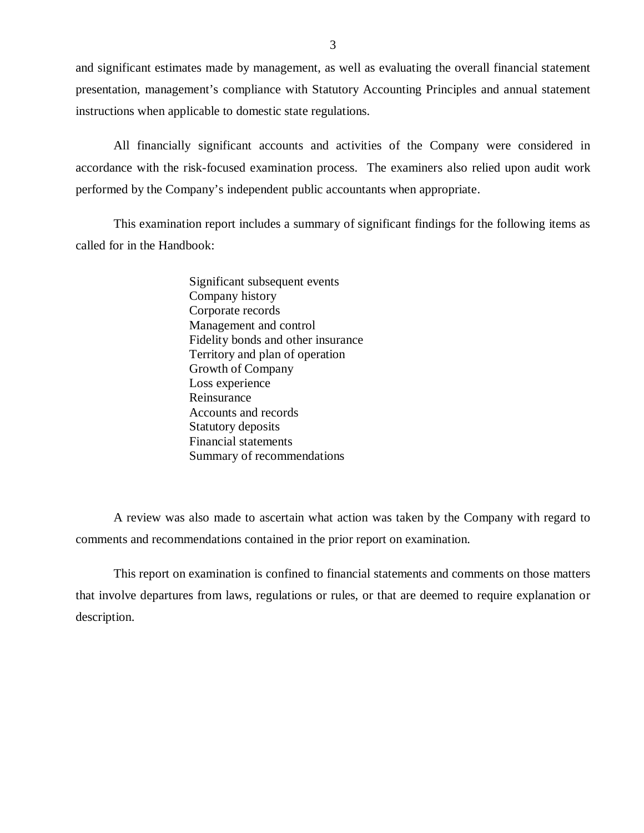and significant estimates made by management, as well as evaluating the overall financial statement presentation, management's compliance with Statutory Accounting Principles and annual statement instructions when applicable to domestic state regulations.

All financially significant accounts and activities of the Company were considered in accordance with the risk-focused examination process. The examiners also relied upon audit work performed by the Company's independent public accountants when appropriate.

This examination report includes a summary of significant findings for the following items as called for in the Handbook:

> Significant subsequent events Company history Corporate records Management and control Fidelity bonds and other insurance Territory and plan of operation Growth of Company Loss experience Reinsurance Accounts and records Statutory deposits Financial statements Summary of recommendations

A review was also made to ascertain what action was taken by the Company with regard to comments and recommendations contained in the prior report on examination.

This report on examination is confined to financial statements and comments on those matters that involve departures from laws, regulations or rules, or that are deemed to require explanation or description.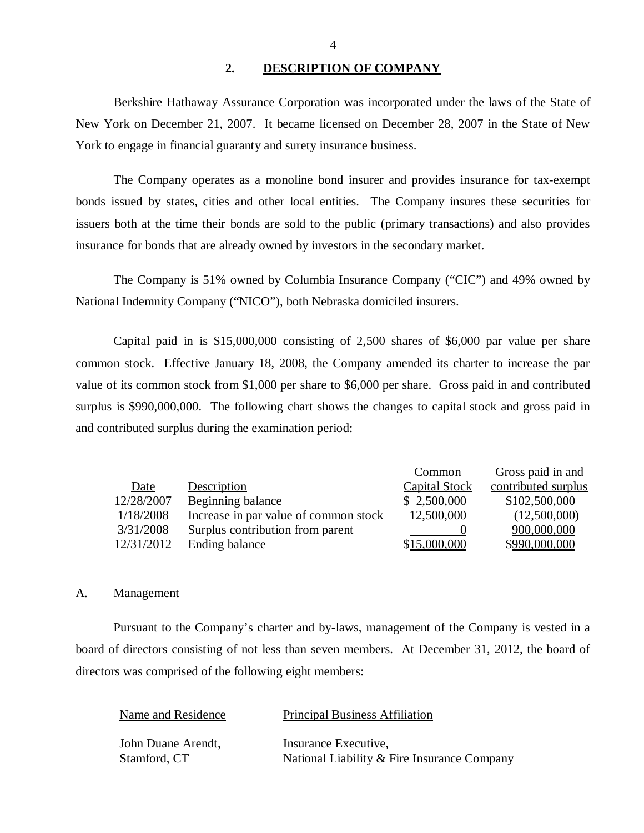#### **2. DESCRIPTION OF COMPANY**

Berkshire Hathaway Assurance Corporation was incorporated under the laws of the State of New York on December 21, 2007. It became licensed on December 28, 2007 in the State of New York to engage in financial guaranty and surety insurance business.

The Company operates as a monoline bond insurer and provides insurance for tax-exempt bonds issued by states, cities and other local entities. The Company insures these securities for issuers both at the time their bonds are sold to the public (primary transactions) and also provides insurance for bonds that are already owned by investors in the secondary market.

The Company is 51% owned by Columbia Insurance Company ("CIC") and 49% owned by National Indemnity Company ("NICO"), both Nebraska domiciled insurers.

Capital paid in is \$15,000,000 consisting of 2,500 shares of \$6,000 par value per share common stock. Effective January 18, 2008, the Company amended its charter to increase the par value of its common stock from \$1,000 per share to \$6,000 per share. Gross paid in and contributed surplus is \$990,000,000. The following chart shows the changes to capital stock and gross paid in and contributed surplus during the examination period:

|            |                                       | Common               | Gross paid in and   |
|------------|---------------------------------------|----------------------|---------------------|
| Date       | Description                           | <b>Capital Stock</b> | contributed surplus |
| 12/28/2007 | Beginning balance                     | \$2,500,000          | \$102,500,000       |
| 1/18/2008  | Increase in par value of common stock | 12,500,000           | (12,500,000)        |
| 3/31/2008  | Surplus contribution from parent      |                      | 900,000,000         |
| 12/31/2012 | Ending balance                        | \$15,000,000         | \$990,000,000       |

#### A. Management

Pursuant to the Company's charter and by-laws, management of the Company is vested in a board of directors consisting of not less than seven members. At December 31, 2012, the board of directors was comprised of the following eight members:

| Name and Residence | <b>Principal Business Affiliation</b>       |
|--------------------|---------------------------------------------|
| John Duane Arendt, | Insurance Executive.                        |
| Stamford, CT       | National Liability & Fire Insurance Company |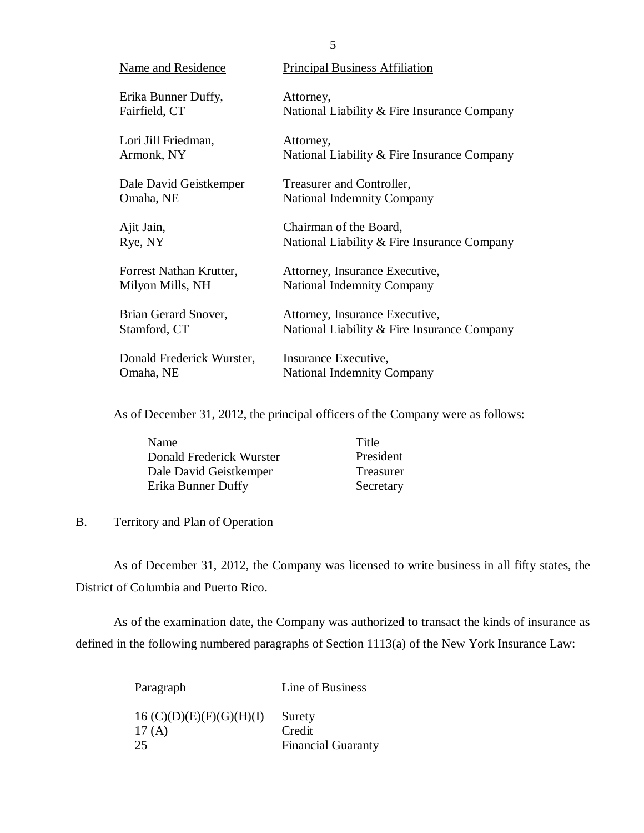| Name and Residence        | <b>Principal Business Affiliation</b>         |
|---------------------------|-----------------------------------------------|
| Erika Bunner Duffy,       | Attorney,                                     |
| Fairfield, CT             | National Liability & Fire Insurance Company   |
| Lori Jill Friedman,       | Attorney,                                     |
| Armonk, NY                | National Liability $&$ Fire Insurance Company |
| Dale David Geistkemper    | Treasurer and Controller,                     |
| Omaha, NE                 | <b>National Indemnity Company</b>             |
| Ajit Jain,                | Chairman of the Board,                        |
| Rye, NY                   | National Liability $&$ Fire Insurance Company |
| Forrest Nathan Krutter,   | Attorney, Insurance Executive,                |
| Milyon Mills, NH          | <b>National Indemnity Company</b>             |
| Brian Gerard Snover,      | Attorney, Insurance Executive,                |
| Stamford, CT              | National Liability $&$ Fire Insurance Company |
| Donald Frederick Wurster, | Insurance Executive,                          |
| Omaha, NE                 | <b>National Indemnity Company</b>             |

As of December 31, 2012, the principal officers of the Company were as follows:

| Name                     | Title     |
|--------------------------|-----------|
| Donald Frederick Wurster | President |
| Dale David Geistkemper   | Treasurer |
| Erika Bunner Duffy       | Secretary |

## B. Territory and Plan of Operation

As of December 31, 2012, the Company was licensed to write business in all fifty states, the District of Columbia and Puerto Rico.

As of the examination date, the Company was authorized to transact the kinds of insurance as defined in the following numbered paragraphs of Section 1113(a) of the New York Insurance Law:

| Paragraph                         | Line of Business          |
|-----------------------------------|---------------------------|
| 16 (C)(D)(E)(F)(G)(H)(I)<br>17(A) | Surety<br>Credit          |
| 25                                | <b>Financial Guaranty</b> |

5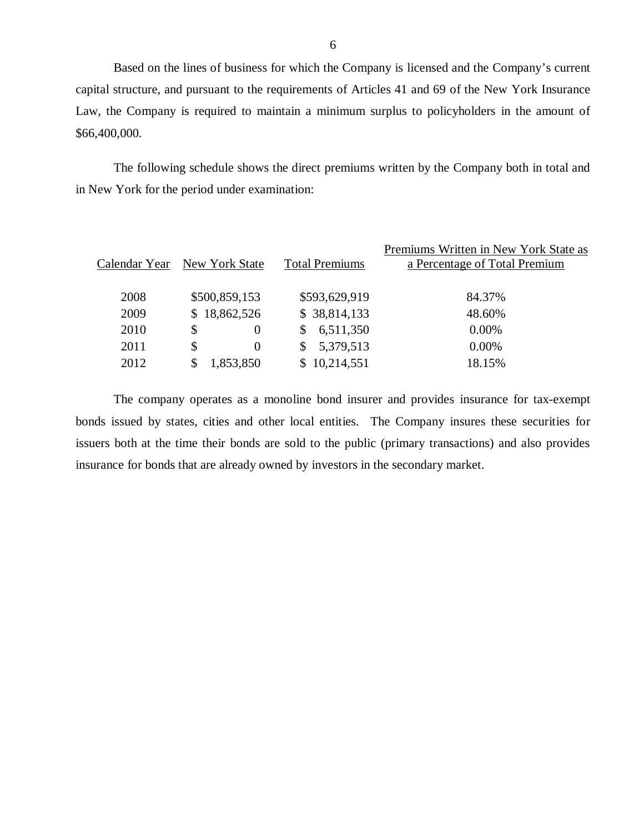Based on the lines of business for which the Company is licensed and the Company's current capital structure, and pursuant to the requirements of Articles 41 and 69 of the New York Insurance Law, the Company is required to maintain a minimum surplus to policyholders in the amount of \$66,400,000.

The following schedule shows the direct premiums written by the Company both in total and in New York for the period under examination:

|      |                              |                       | Premiums Written in New York State as |
|------|------------------------------|-----------------------|---------------------------------------|
|      | Calendar Year New York State | <b>Total Premiums</b> | a Percentage of Total Premium         |
|      |                              |                       |                                       |
| 2008 | \$500,859,153                | \$593,629,919         | 84.37%                                |
| 2009 | \$18,862,526                 | \$38,814,133          | 48.60%                                |
| 2010 | \$<br>$\Omega$               | 6,511,350             | $0.00\%$                              |
| 2011 | \$<br>$\Omega$               | 5,379,513             | $0.00\%$                              |
| 2012 | 1,853,850                    | \$10,214,551          | 18.15%                                |
|      |                              |                       |                                       |

The company operates as a monoline bond insurer and provides insurance for tax-exempt bonds issued by states, cities and other local entities. The Company insures these securities for issuers both at the time their bonds are sold to the public (primary transactions) and also provides insurance for bonds that are already owned by investors in the secondary market.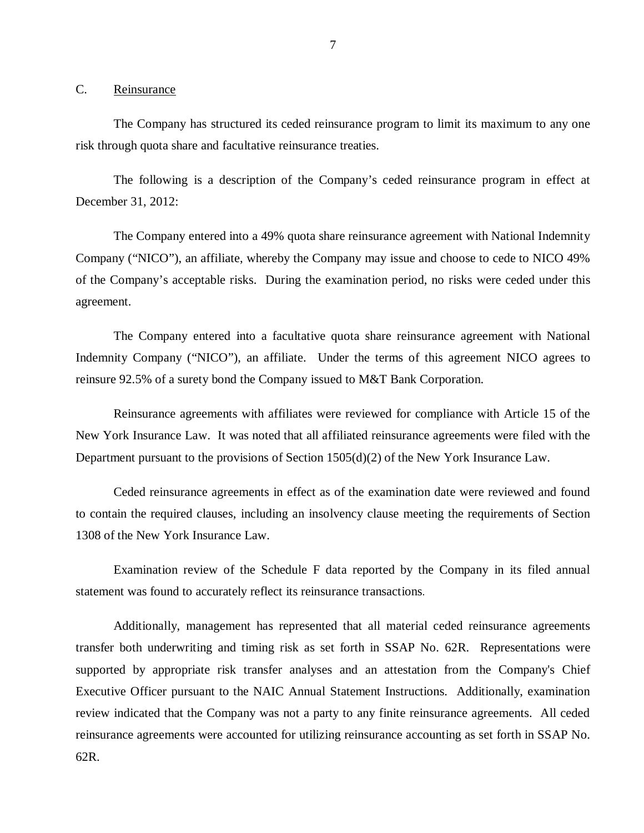<span id="page-8-0"></span>C. Reinsurance

The Company has structured its ceded reinsurance program to limit its maximum to any one risk through quota share and facultative reinsurance treaties.

The following is a description of the Company's ceded reinsurance program in effect at December 31, 2012:

The Company entered into a 49% quota share reinsurance agreement with National Indemnity Company ("NICO"), an affiliate, whereby the Company may issue and choose to cede to NICO 49% of the Company's acceptable risks. During the examination period, no risks were ceded under this agreement.

The Company entered into a facultative quota share reinsurance agreement with National Indemnity Company ("NICO"), an affiliate. Under the terms of this agreement NICO agrees to reinsure 92.5% of a surety bond the Company issued to M&T Bank Corporation.

Reinsurance agreements with affiliates were reviewed for compliance with Article 15 of the New York Insurance Law. It was noted that all affiliated reinsurance agreements were filed with the Department pursuant to the provisions of Section 1505(d)(2) of the New York Insurance Law.

Ceded reinsurance agreements in effect as of the examination date were reviewed and found to contain the required clauses, including an insolvency clause meeting the requirements of Section 1308 of the New York Insurance Law.

Examination review of the Schedule F data reported by the Company in its filed annual statement was found to accurately reflect its reinsurance transactions.

Additionally, management has represented that all material ceded reinsurance agreements transfer both underwriting and timing risk as set forth in SSAP No. 62R. Representations were supported by appropriate risk transfer analyses and an attestation from the Company's Chief Executive Officer pursuant to the NAIC Annual Statement Instructions. Additionally, examination review indicated that the Company was not a party to any finite reinsurance agreements. All ceded reinsurance agreements were accounted for utilizing reinsurance accounting as set forth in SSAP No. 62R.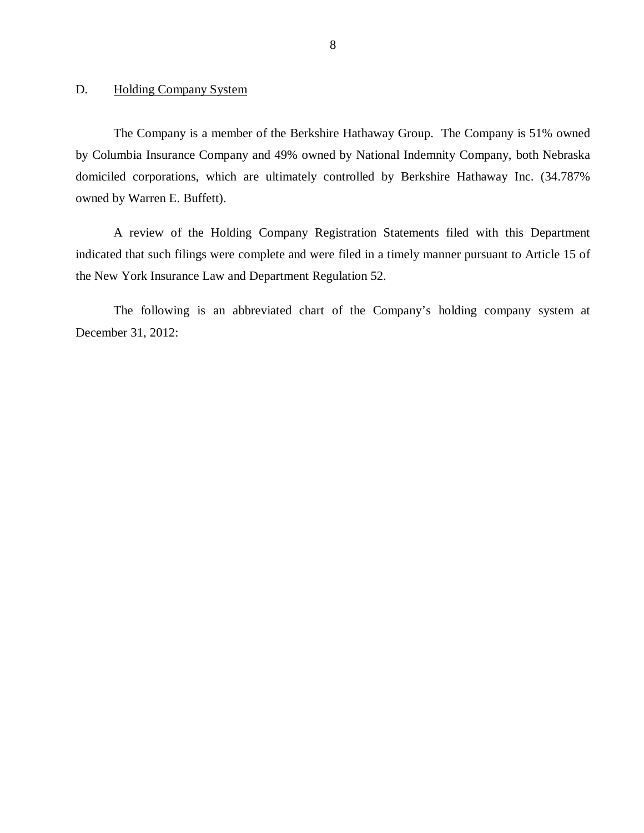## <span id="page-9-0"></span>D. Holding Company System

The Company is a member of the Berkshire Hathaway Group. The Company is 51% owned by Columbia Insurance Company and 49% owned by National Indemnity Company, both Nebraska domiciled corporations, which are ultimately controlled by Berkshire Hathaway Inc. (34.787% owned by Warren E. Buffett).

A review of the Holding Company Registration Statements filed with this Department indicated that such filings were complete and were filed in a timely manner pursuant to Article 15 of the New York Insurance Law and Department Regulation 52.

The following is an abbreviated chart of the Company's holding company system at December 31, 2012: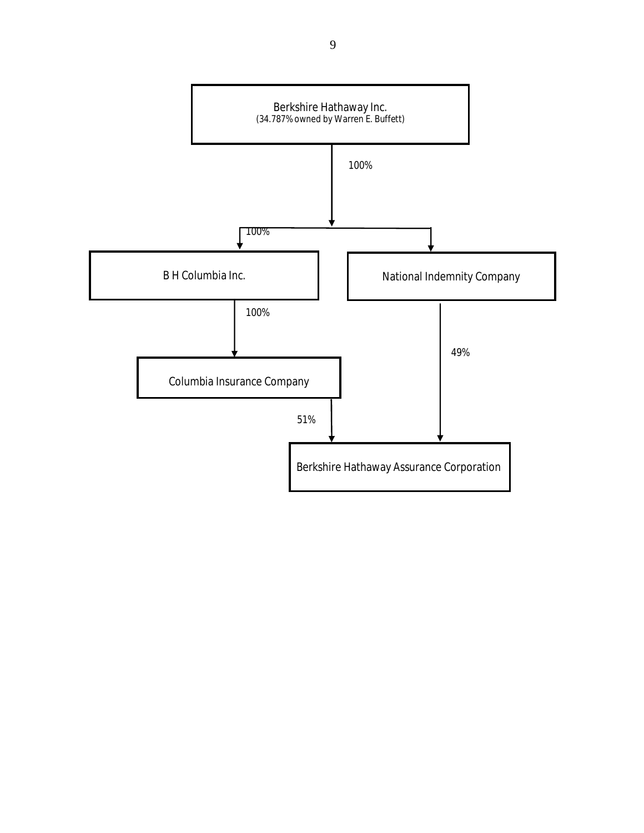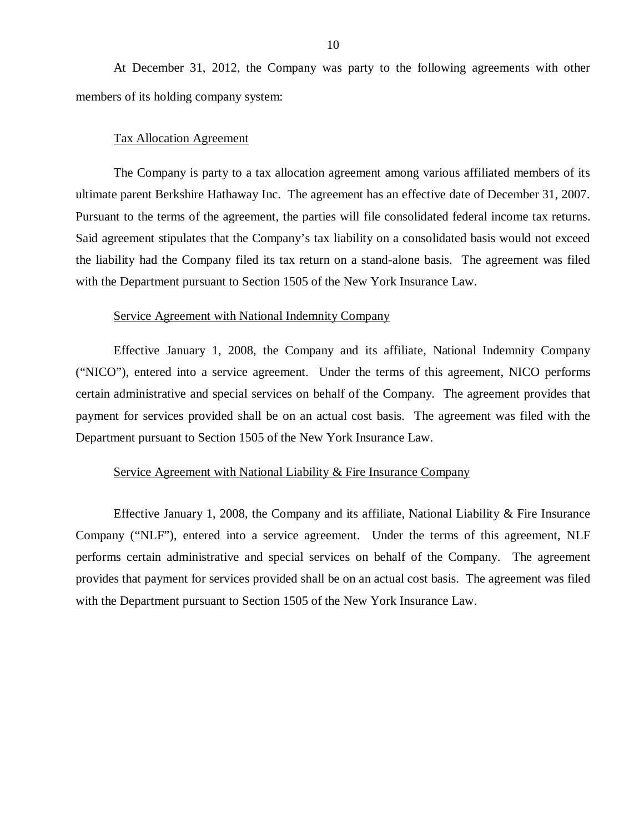At December 31, 2012, the Company was party to the following agreements with other members of its holding company system:

#### Tax Allocation Agreement

The Company is party to a tax allocation agreement among various affiliated members of its ultimate parent Berkshire Hathaway Inc. The agreement has an effective date of December 31, 2007. Pursuant to the terms of the agreement, the parties will file consolidated federal income tax returns. Said agreement stipulates that the Company's tax liability on a consolidated basis would not exceed the liability had the Company filed its tax return on a stand-alone basis. The agreement was filed with the Department pursuant to Section 1505 of the New York Insurance Law.

#### Service Agreement with National Indemnity Company

Effective January 1, 2008, the Company and its affiliate, National Indemnity Company ("NICO"), entered into a service agreement. Under the terms of this agreement, NICO performs certain administrative and special services on behalf of the Company. The agreement provides that payment for services provided shall be on an actual cost basis. The agreement was filed with the Department pursuant to Section 1505 of the New York Insurance Law.

#### Service Agreement with National Liability & Fire Insurance Company

Effective January 1, 2008, the Company and its affiliate, National Liability  $\&$  Fire Insurance Company ("NLF"), entered into a service agreement. Under the terms of this agreement, NLF performs certain administrative and special services on behalf of the Company. The agreement provides that payment for services provided shall be on an actual cost basis. The agreement was filed with the Department pursuant to Section 1505 of the New York Insurance Law.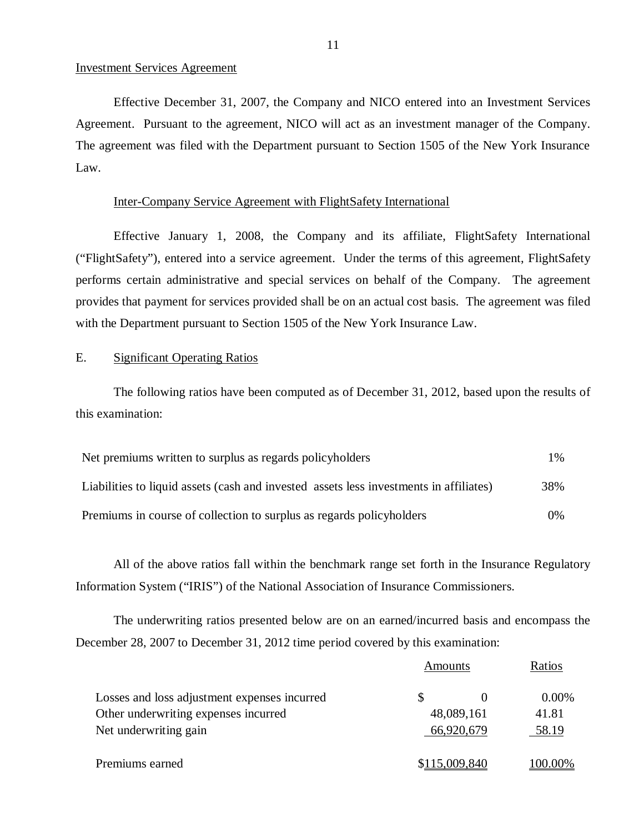#### Investment Services Agreement

Effective December 31, 2007, the Company and NICO entered into an Investment Services Agreement. Pursuant to the agreement, NICO will act as an investment manager of the Company. The agreement was filed with the Department pursuant to Section 1505 of the New York Insurance Law.

#### Inter-Company Service Agreement with FlightSafety International

Effective January 1, 2008, the Company and its affiliate, FlightSafety International ("FlightSafety"), entered into a service agreement. Under the terms of this agreement, FlightSafety performs certain administrative and special services on behalf of the Company. The agreement provides that payment for services provided shall be on an actual cost basis. The agreement was filed with the Department pursuant to Section 1505 of the New York Insurance Law.

#### E. Significant Operating Ratios

The following ratios have been computed as of December 31, 2012, based upon the results of this examination:

| Net premiums written to surplus as regards policyholders                               | $1\%$ |
|----------------------------------------------------------------------------------------|-------|
| Liabilities to liquid assets (cash and invested assets less investments in affiliates) | 38%   |
| Premiums in course of collection to surplus as regards policyholders                   | $0\%$ |

All of the above ratios fall within the benchmark range set forth in the Insurance Regulatory Information System ("IRIS") of the National Association of Insurance Commissioners.

The underwriting ratios presented below are on an earned/incurred basis and encompass the December 28, 2007 to December 31, 2012 time period covered by this examination:

|                                              | Amounts    |               | Ratios   |  |
|----------------------------------------------|------------|---------------|----------|--|
| Losses and loss adjustment expenses incurred |            |               | $0.00\%$ |  |
| Other underwriting expenses incurred         |            | 48,089,161    | 41.81    |  |
| Net underwriting gain                        | 66,920,679 |               | 58.19    |  |
| Premiums earned                              |            | \$115,009,840 | 100.00%  |  |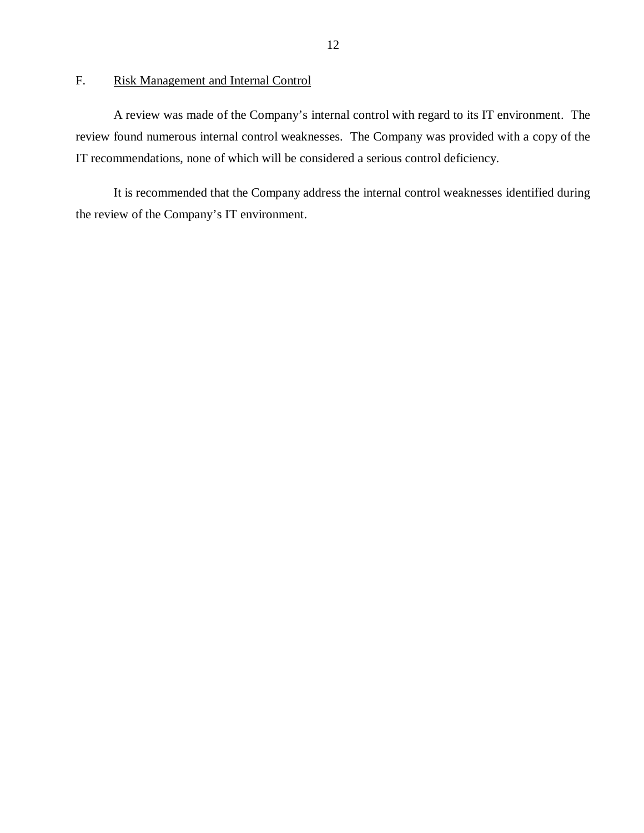## <span id="page-13-0"></span>F. Risk Management and Internal Control

A review was made of the Company's internal control with regard to its IT environment. The review found numerous internal control weaknesses. The Company was provided with a copy of the IT recommendations, none of which will be considered a serious control deficiency.

It is recommended that the Company address the internal control weaknesses identified during the review of the Company's IT environment.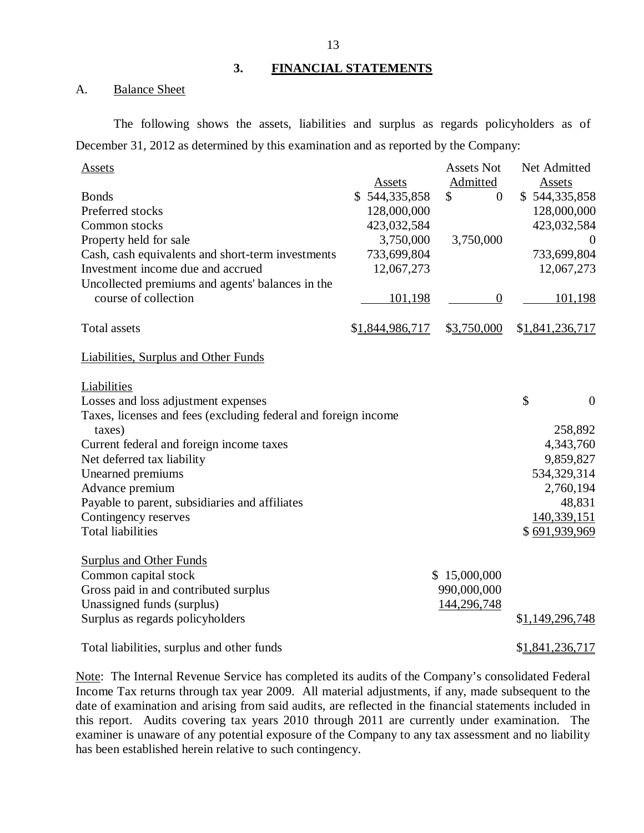#### **3. FINANCIAL STATEMENTS**

#### A. Balance Sheet

The following shows the assets, liabilities and surplus as regards policyholders as of December 31, 2012 as determined by this examination and as reported by the Company:

| <b>Assets</b>                                                  |                 | <b>Assets Not</b>    | Net Admitted         |
|----------------------------------------------------------------|-----------------|----------------------|----------------------|
|                                                                | Assets          | Admitted             | <b>Assets</b>        |
| <b>Bonds</b>                                                   | \$544,335,858   | \$<br>$\overline{0}$ | \$544,335,858        |
| Preferred stocks                                               | 128,000,000     |                      | 128,000,000          |
| Common stocks                                                  | 423,032,584     |                      | 423,032,584          |
| Property held for sale                                         | 3,750,000       | 3,750,000            | $\theta$             |
| Cash, cash equivalents and short-term investments              | 733,699,804     |                      | 733,699,804          |
| Investment income due and accrued                              | 12,067,273      |                      | 12,067,273           |
| Uncollected premiums and agents' balances in the               |                 |                      |                      |
| course of collection                                           | 101,198         | $\boldsymbol{0}$     | 101,198              |
|                                                                |                 |                      |                      |
| <b>Total assets</b>                                            | \$1,844,986,717 | \$3,750,000          | \$1,841,236,717      |
|                                                                |                 |                      |                      |
| <b>Liabilities, Surplus and Other Funds</b>                    |                 |                      |                      |
|                                                                |                 |                      |                      |
| Liabilities                                                    |                 |                      |                      |
| Losses and loss adjustment expenses                            |                 |                      | \$<br>$\overline{0}$ |
| Taxes, licenses and fees (excluding federal and foreign income |                 |                      |                      |
| taxes)                                                         |                 |                      | 258,892              |
| Current federal and foreign income taxes                       |                 |                      | 4,343,760            |
| Net deferred tax liability                                     |                 |                      | 9,859,827            |
| Unearned premiums                                              |                 |                      | 534,329,314          |
| Advance premium                                                |                 |                      | 2,760,194            |
| Payable to parent, subsidiaries and affiliates                 |                 |                      | 48,831               |
| Contingency reserves                                           |                 |                      | 140,339,151          |
| <b>Total liabilities</b>                                       |                 |                      | \$691,939,969        |
|                                                                |                 |                      |                      |
| <b>Surplus and Other Funds</b>                                 |                 |                      |                      |
| Common capital stock                                           |                 | \$15,000,000         |                      |
| Gross paid in and contributed surplus                          |                 | 990,000,000          |                      |
| Unassigned funds (surplus)                                     |                 | 144,296,748          |                      |
| Surplus as regards policyholders                               |                 |                      | \$1,149,296,748      |
| Total liabilities, surplus and other funds                     |                 |                      | \$1,841,236,717      |
|                                                                |                 |                      |                      |

Note: The Internal Revenue Service has completed its audits of the Company's consolidated Federal Income Tax returns through tax year 2009. All material adjustments, if any, made subsequent to the date of examination and arising from said audits, are reflected in the financial statements included in this report. Audits covering tax years 2010 through 2011 are currently under examination. The examiner is unaware of any potential exposure of the Company to any tax assessment and no liability has been established herein relative to such contingency.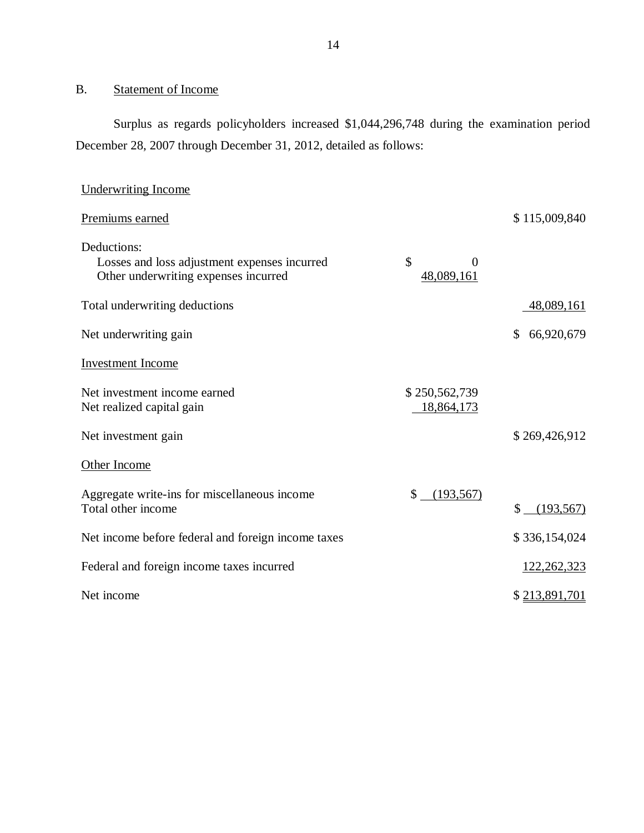## <span id="page-15-0"></span>B. Statement of Income

Surplus as regards policyholders increased \$1,044,296,748 during the examination period December 28, 2007 through December 31, 2012, detailed as follows:

| Underwriting Income                                                                                 |                                    |                            |
|-----------------------------------------------------------------------------------------------------|------------------------------------|----------------------------|
| Premiums earned                                                                                     |                                    | \$115,009,840              |
| Deductions:<br>Losses and loss adjustment expenses incurred<br>Other underwriting expenses incurred | \$<br>$\overline{0}$<br>48,089,161 |                            |
| Total underwriting deductions                                                                       |                                    | 48,089,161                 |
| Net underwriting gain                                                                               |                                    | $\mathbb{S}$<br>66,920,679 |
| <b>Investment</b> Income                                                                            |                                    |                            |
| Net investment income earned<br>Net realized capital gain                                           | \$250,562,739<br>18,864,173        |                            |
| Net investment gain                                                                                 |                                    | \$269,426,912              |
| Other Income                                                                                        |                                    |                            |
| Aggregate write-ins for miscellaneous income<br>Total other income                                  | \$<br>(193, 567)                   | (193, 567)<br>\$           |
| Net income before federal and foreign income taxes                                                  |                                    | \$336,154,024              |
| Federal and foreign income taxes incurred                                                           |                                    | 122, 262, 323              |
| Net income                                                                                          |                                    | \$213,891,701              |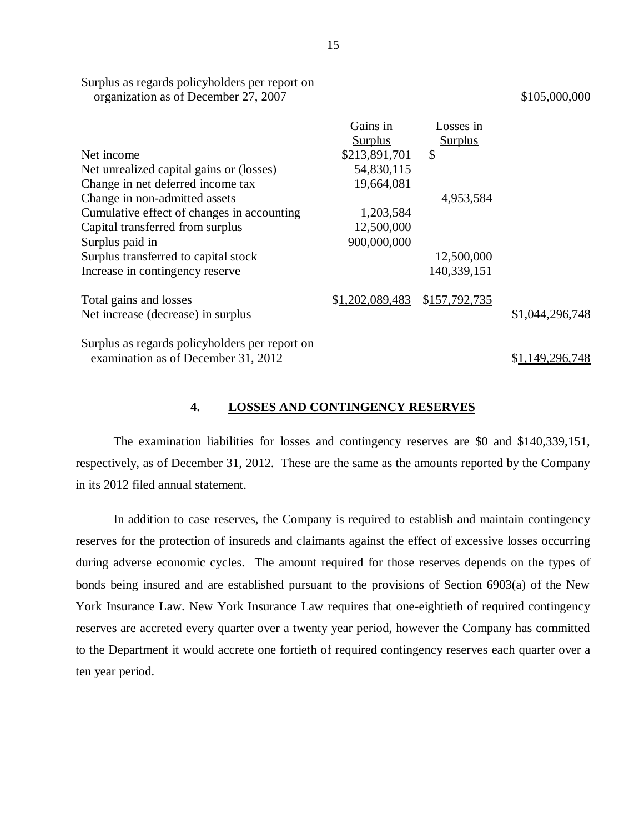|                                                | Gains in        | Losses in      |                 |
|------------------------------------------------|-----------------|----------------|-----------------|
|                                                | <b>Surplus</b>  | <b>Surplus</b> |                 |
| Net income                                     | \$213,891,701   | \$             |                 |
| Net unrealized capital gains or (losses)       | 54,830,115      |                |                 |
| Change in net deferred income tax              | 19,664,081      |                |                 |
| Change in non-admitted assets                  |                 | 4,953,584      |                 |
| Cumulative effect of changes in accounting     | 1,203,584       |                |                 |
| Capital transferred from surplus               | 12,500,000      |                |                 |
| Surplus paid in                                | 900,000,000     |                |                 |
| Surplus transferred to capital stock           |                 | 12,500,000     |                 |
| Increase in contingency reserve                |                 | 140,339,151    |                 |
| Total gains and losses                         | \$1,202,089,483 | \$157,792,735  |                 |
| Net increase (decrease) in surplus             |                 |                | \$1,044,296,748 |
| Surplus as regards policyholders per report on |                 |                |                 |
| examination as of December 31, 2012            |                 |                | \$1,149,296,748 |

**4. LOSSES AND CONTINGENCY RESERVES** 

The examination liabilities for losses and contingency reserves are \$0 and \$140,339,151, respectively, as of December 31, 2012. These are the same as the amounts reported by the Company in its 2012 filed annual statement.

In addition to case reserves, the Company is required to establish and maintain contingency reserves for the protection of insureds and claimants against the effect of excessive losses occurring during adverse economic cycles. The amount required for those reserves depends on the types of bonds being insured and are established pursuant to the provisions of Section 6903(a) of the New York Insurance Law. New York Insurance Law requires that one-eightieth of required contingency reserves are accreted every quarter over a twenty year period, however the Company has committed to the Department it would accrete one fortieth of required contingency reserves each quarter over a ten year period.

15

<span id="page-16-0"></span>Surplus as regards policyholders per report on organization as of December 27, 2007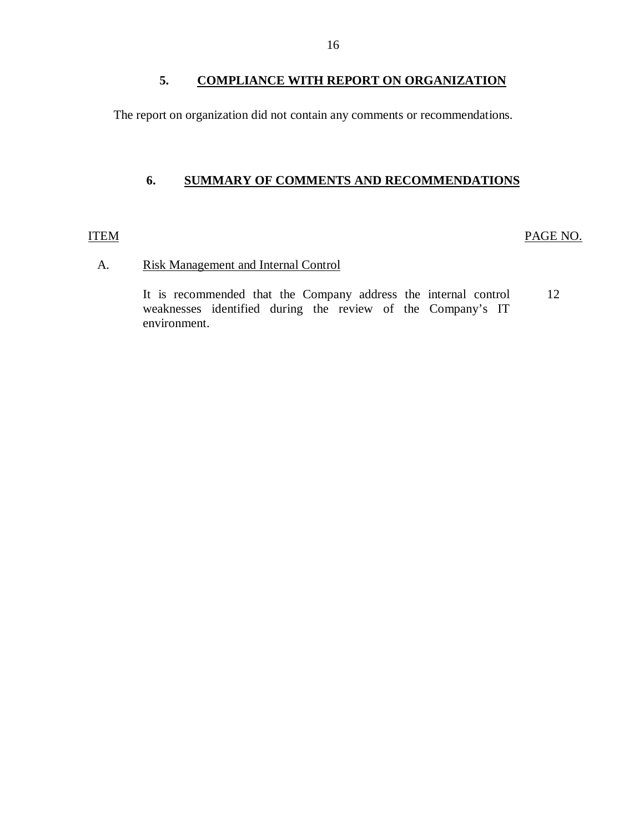## **5. COMPLIANCE WITH REPORT ON ORGANIZATION**

<span id="page-17-0"></span>The report on organization did not contain any comments or recommendations.

## **6. SUMMARY OF COMMENTS AND RECOMMENDATIONS**

#### ITEM PAGE NO.

## A. Risk Management and Internal Control

It is recommended that the Company address the internal control 12 weaknesses identified during the review of the Company's IT environment.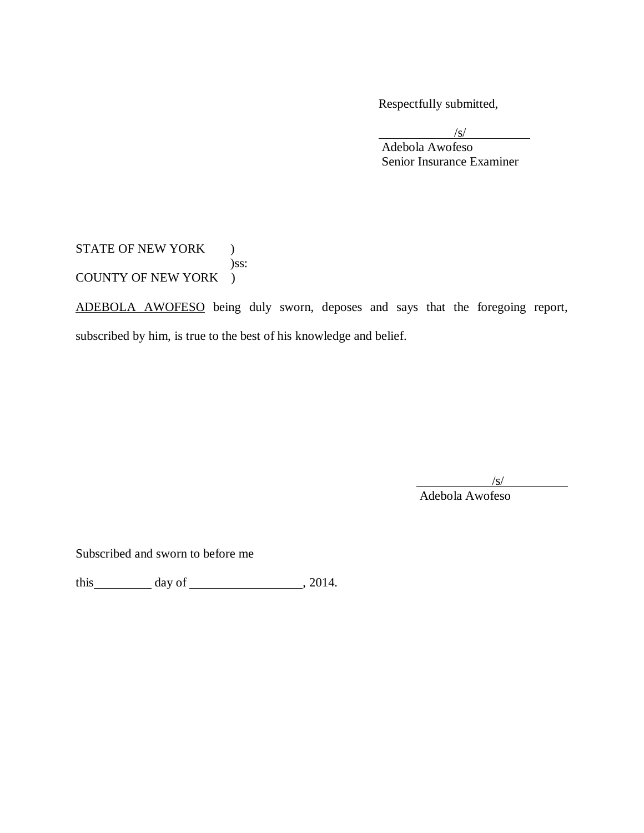Respectfully submitted,

/s/ Adebola Awofeso Senior Insurance Examiner

STATE OF NEW YORK ) )ss: COUNTY OF NEW YORK )

ADEBOLA AWOFESO being duly sworn, deposes and says that the foregoing report, subscribed by him, is true to the best of his knowledge and belief.

 $\sqrt{s}$ /

Adebola Awofeso

Subscribed and sworn to before me

this  $\_\_\_\_\_\$  day of  $\_\_\_\_\_\_\_\_\_\$ , 2014.